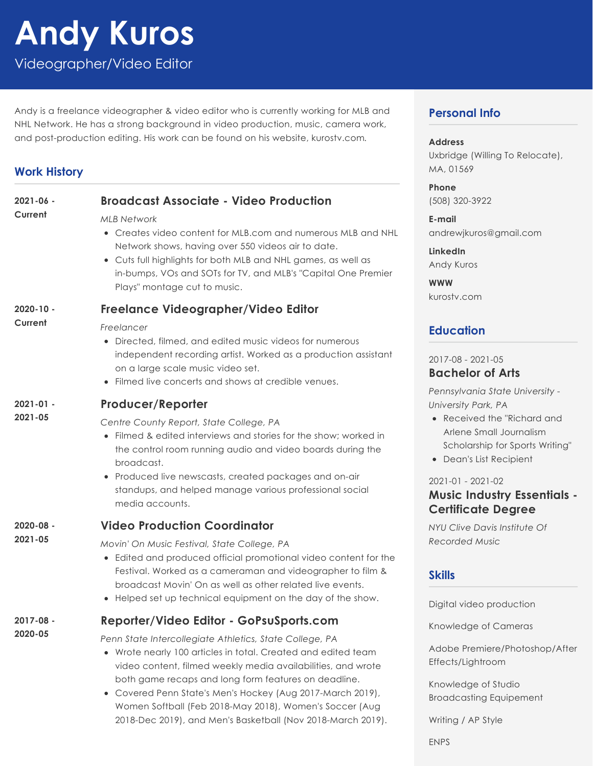# **Andy Kuros**

Videographer/Video Editor

Andy is a freelance videographer & video editor who is currently working for MLB and NHL Network. He has a strong background in video production, music, camera work, and post-production editing. His work can be found on his website, kurostv.com*.*

## **Work History**

| $2021 - 06 -$<br>Current | <b>Broadcast Associate - Video Production</b>                                                                                                                                                                                                                                                                                   | <u>rnc</u><br>(50)                                                 |
|--------------------------|---------------------------------------------------------------------------------------------------------------------------------------------------------------------------------------------------------------------------------------------------------------------------------------------------------------------------------|--------------------------------------------------------------------|
|                          | <b>MLB Network</b><br>• Creates video content for MLB.com and numerous MLB and NHL<br>Network shows, having over 550 videos air to date.<br>• Cuts full highlights for both MLB and NHL games, as well as<br>in-bumps, VOs and SOTs for TV, and MLB's "Capital One Premier<br>Plays" montage cut to music.                      | E-n<br>and<br>Link<br>Ano<br><b>WW</b>                             |
| $2020 - 10 -$<br>Current | Freelance Videographer/Video Editor                                                                                                                                                                                                                                                                                             | kur                                                                |
|                          | Freelancer<br>• Directed, filmed, and edited music videos for numerous<br>independent recording artist. Worked as a production assistant<br>on a large scale music video set.<br>• Filmed live concerts and shows at credible venues.                                                                                           | Ed<br>201<br>Ba<br>Per                                             |
| $2021 - 01 -$<br>2021-05 | <b>Producer/Reporter</b>                                                                                                                                                                                                                                                                                                        | Uni                                                                |
|                          | Centre County Report, State College, PA<br>• Filmed & edited interviews and stories for the show; worked in<br>the control room running audio and video boards during the<br>broadcast.<br>• Produced live newscasts, created packages and on-air<br>standups, and helped manage various professional social<br>media accounts. | $\bullet$<br>$\bullet$<br>202<br>Mι                                |
| $2020 - 08 -$<br>2021-05 | <b>Video Production Coordinator</b>                                                                                                                                                                                                                                                                                             | Ce<br>NYL                                                          |
|                          | Movin' On Music Festival, State College, PA<br>• Edited and produced official promotional video content for the<br>Festival. Worked as a cameraman and videographer to film &<br>broadcast Movin' On as well as other related live events.<br>• Helped set up technical equipment on the day of the show.                       | Rec<br>Ski                                                         |
| $2017 - 08 -$            | Reporter/Video Editor - GoPsuSports.com                                                                                                                                                                                                                                                                                         | Dig                                                                |
| 2020-05                  | Penn State Intercollegiate Athletics, State College, PA<br>• Wrote nearly 100 articles in total. Created and edited team<br>video content, filmed weekly media availabilities, and wrote<br>both game recaps and long form features on deadline.                                                                                | Knc<br>Ad<br>$E$ ff $\epsilon$<br>$\overline{V}$ in $\overline{a}$ |

Covered Penn State's Men's Hockey (Aug 2017-March 2019), Women Softball (Feb 2018-May 2018), Women's Soccer (Aug 2018-Dec 2019), and Men's Basketball (Nov 2018-March 2019).

## **Personal Info**

#### **Address**

Uxbridge (Willing To Relocate), MA, 01569

**Phone** (508) 320-3922

**E-mail** drewjkuros@gmail.com

**LinkedIn** dy Kuros

**WWW** kurostv.com

## **Education**

#### 2017-08 - 2021-05 **Bachelor of Arts**

*Pennsylvania State University - University Park, PA*

- Received the "Richard and Arlene Small Journalism Scholarship for Sports Writing"
- Dean's List Recipient

#### $21 - 01 - 2021 - 02$

## **Music Industry Essentials - Certificate Degree**

*NYU Clive Davis Institute Of Recorded Music*

## **Skills**

ital video production

owledge of Cameras

obe Premiere/Photoshop/After ects/Lightroom

Knowledge of Studio Broadcasting Equipement

Writing / AP Style